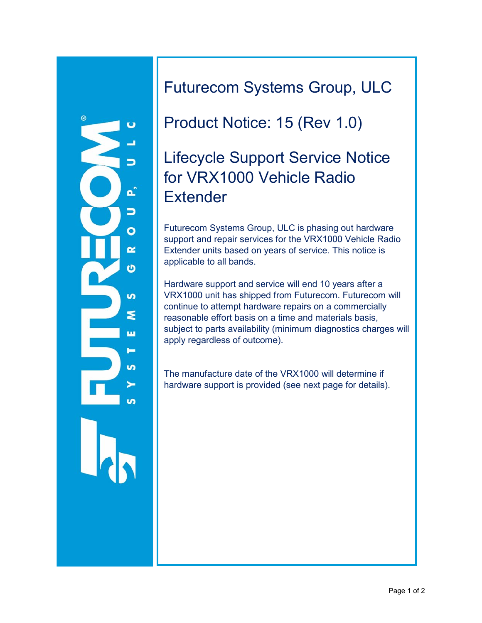

Futurecom Systems Group, ULC

### Product Notice: 15 (Rev 1.0)

# Lifecycle Support Service Notice for VRX1000 Vehicle Radio **Extender**

Futurecom Systems Group, ULC is phasing out hardware support and repair services for the VRX1000 Vehicle Radio Extender units based on years of service. This notice is applicable to all bands.

Hardware support and service will end 10 years after a VRX1000 unit has shipped from Futurecom. Futurecom will continue to attempt hardware repairs on a commercially reasonable effort basis on a time and materials basis, subject to parts availability (minimum diagnostics charges will apply regardless of outcome).

The manufacture date of the VRX1000 will determine if hardware support is provided (see next page for details).